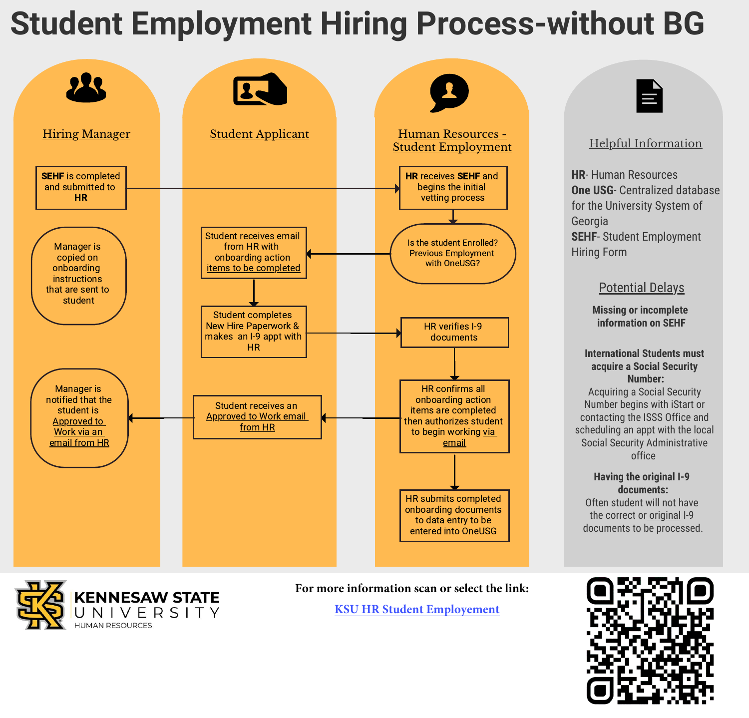## **Student Employment Hiring Process-without BG**





### Helpful Information

**HR**- Human Resources **One USG**- Centralized database for the University System of Georgia **SEHF**- Student Employment Hiring Form

#### Potential Delays

**Missing or incomplete information on SEHF**

#### **International Students must acquire a Social Security Number:**

Acquiring a Social Security Number begins with iStart or contacting the ISSS Office and scheduling an appt with the local Social Security Administrative office

**Having the original I-9 documents:** Often student will not have the correct or original I-9 documents to be processed.



**For more information scan or select the link: [KSU HR Student Employement](https://hr.kennesaw.edu/student_employment/index.php)**